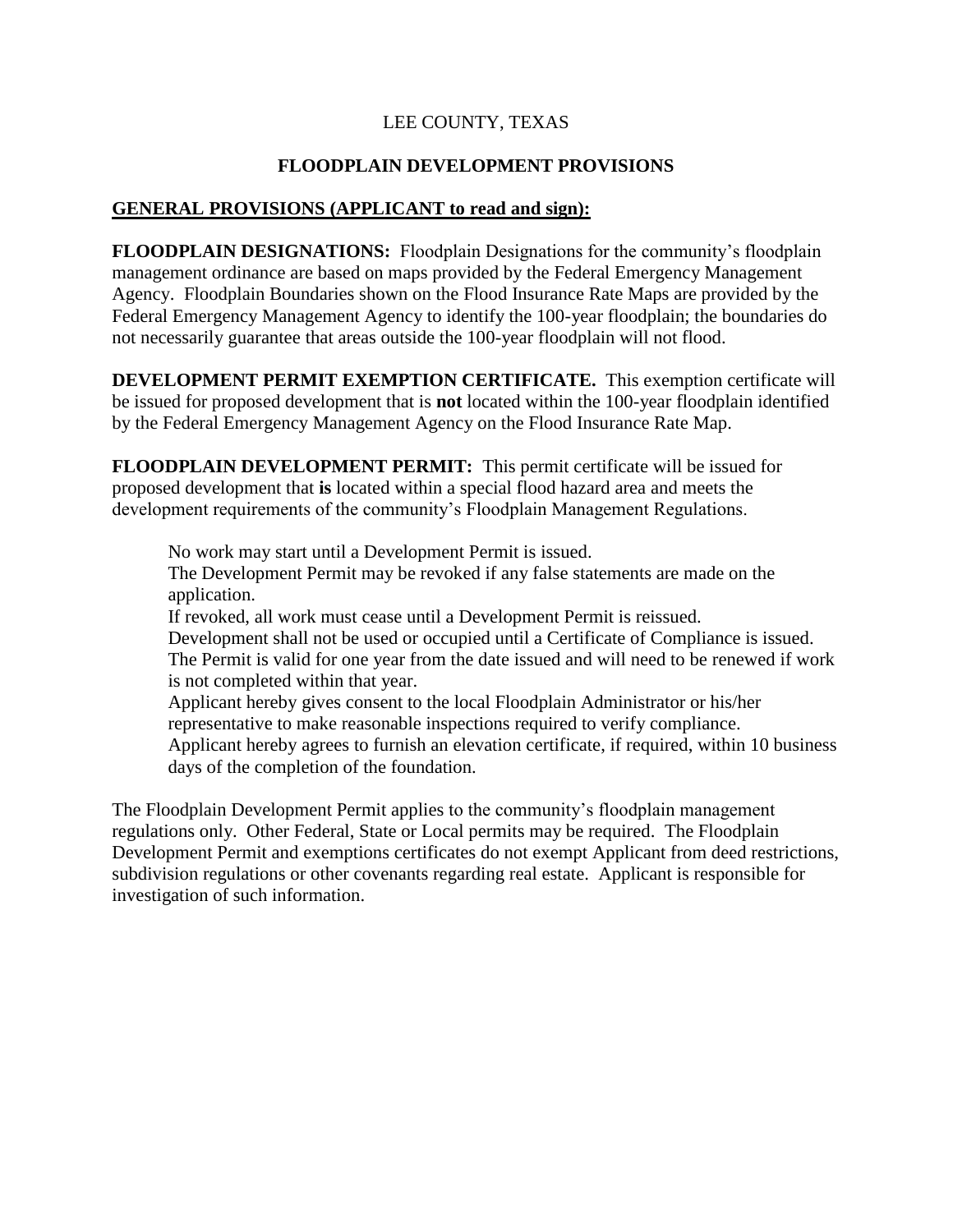## LEE COUNTY, TEXAS

## **FLOODPLAIN DEVELOPMENT PROVISIONS**

## **GENERAL PROVISIONS (APPLICANT to read and sign):**

**FLOODPLAIN DESIGNATIONS:** Floodplain Designations for the community's floodplain management ordinance are based on maps provided by the Federal Emergency Management Agency. Floodplain Boundaries shown on the Flood Insurance Rate Maps are provided by the Federal Emergency Management Agency to identify the 100-year floodplain; the boundaries do not necessarily guarantee that areas outside the 100-year floodplain will not flood.

**DEVELOPMENT PERMIT EXEMPTION CERTIFICATE.** This exemption certificate will be issued for proposed development that is **not** located within the 100-year floodplain identified by the Federal Emergency Management Agency on the Flood Insurance Rate Map.

**FLOODPLAIN DEVELOPMENT PERMIT:** This permit certificate will be issued for proposed development that **is** located within a special flood hazard area and meets the development requirements of the community's Floodplain Management Regulations.

No work may start until a Development Permit is issued. The Development Permit may be revoked if any false statements are made on the application.

If revoked, all work must cease until a Development Permit is reissued. Development shall not be used or occupied until a Certificate of Compliance is issued. The Permit is valid for one year from the date issued and will need to be renewed if work is not completed within that year.

Applicant hereby gives consent to the local Floodplain Administrator or his/her representative to make reasonable inspections required to verify compliance. Applicant hereby agrees to furnish an elevation certificate, if required, within 10 business days of the completion of the foundation.

The Floodplain Development Permit applies to the community's floodplain management regulations only. Other Federal, State or Local permits may be required. The Floodplain Development Permit and exemptions certificates do not exempt Applicant from deed restrictions, subdivision regulations or other covenants regarding real estate. Applicant is responsible for investigation of such information.